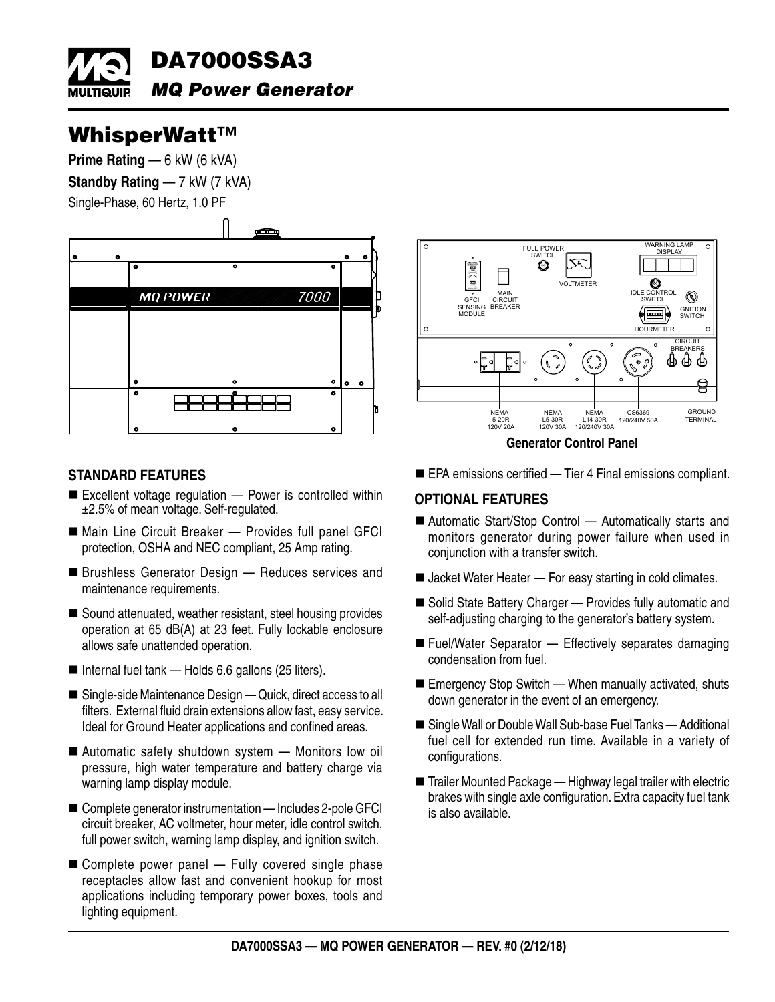

## WhisperWatt™

**Prime Rating** — 6 kW (6 kVA)

**Standby Rating — 7 kW (7 kVA)** 

Single-Phase, 60 Hertz, 1.0 PF



## **STANDARD FEATURES**

- $\blacksquare$  Excellent voltage regulation  $-$  Power is controlled within ±2.5% of mean voltage. Self-regulated.
- Main Line Circuit Breaker Provides full panel GFCI protection, OSHA and NEC compliant, 25 Amp rating.
- **Brushless Generator Design Reduces services and** maintenance requirements.
- Sound attenuated, weather resistant, steel housing provides operation at 65 dB(A) at 23 feet. Fully lockable enclosure allows safe unattended operation.
- Internal fuel tank Holds 6.6 gallons (25 liters).
- Single-side Maintenance Design Quick, direct access to all filters. External fluid drain extensions allow fast, easy service. Ideal for Ground Heater applications and confined areas.
- Automatic safety shutdown system Monitors low oil pressure, high water temperature and battery charge via warning lamp display module.
- Complete generator instrumentation Includes 2-pole GFCI circuit breaker, AC voltmeter, hour meter, idle control switch, full power switch, warning lamp display, and ignition switch.
- $\blacksquare$  Complete power panel  $-$  Fully covered single phase receptacles allow fast and convenient hookup for most applications including temporary power boxes, tools and lighting equipment.



**Generator Control Panel**

EPA emissions certified — Tier 4 Final emissions compliant.

## **OPTIONAL FEATURES**

- Automatic Start/Stop Control Automatically starts and monitors generator during power failure when used in conjunction with a transfer switch.
- Jacket Water Heater For easy starting in cold climates.
- Solid State Battery Charger Provides fully automatic and self-adjusting charging to the generator's battery system.
- Fuel/Water Separator Effectively separates damaging condensation from fuel.
- Emergency Stop Switch When manually activated, shuts down generator in the event of an emergency.
- Single Wall or Double Wall Sub-base Fuel Tanks Additional fuel cell for extended run time. Available in a variety of configurations.
- Trailer Mounted Package Highway legal trailer with electric brakes with single axle configuration. Extra capacity fuel tank is also available.